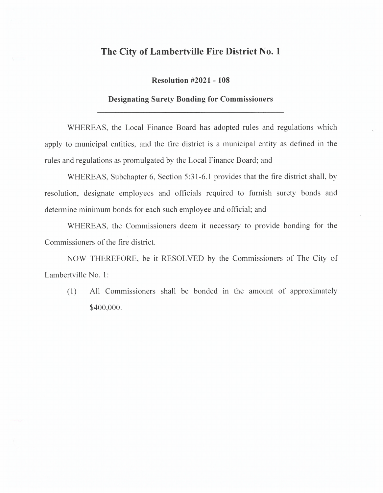## **The City of Lambertville Fire District No. 1**

**Resolution #2021 - 108** 

## **Designating Surety Bonding for Commissioners**

WHEREAS, the Local Finance Board has adopted rules and regulations which apply to municipal entities, and the fire district is a municipal entity as defined in the rules and regulations as promulgated by the Local Finance Board; and

WHEREAS, Subchapter 6, Section 5:31-6.1 provides that the fire district shall, by resolution, designate employees and officials required to furnish surety bonds and determine minimum bonds for each such employee and official; and

WHEREAS, the Commissioners deem it necessary to provide bonding for the Commissioners of the fire district.

NOW THEREFORE, be it RESOLVED by the Commissioners of The City of Lambertville No. 1:

( 1) All Commissioners shall be bonded in the amount of approximately \$400,000.